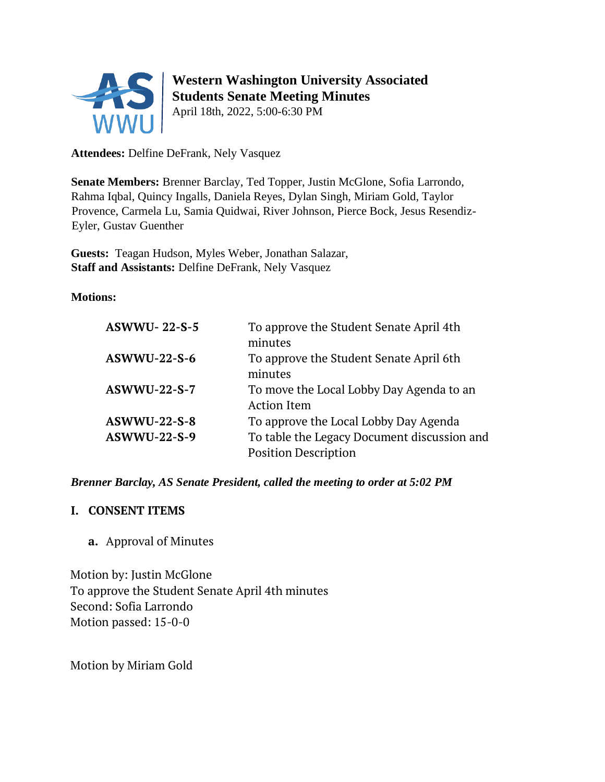

# **Western Washington University Associated Students Senate Meeting Minutes**

April 18th, 2022, 5:00-6:30 PM

**Attendees:** Delfine DeFrank, Nely Vasquez

**Senate Members:** Brenner Barclay, Ted Topper, Justin McGlone, Sofia Larrondo, Rahma Iqbal, Quincy Ingalls, Daniela Reyes, Dylan Singh, Miriam Gold, Taylor Provence, Carmela Lu, Samia Quidwai, River Johnson, Pierce Bock, Jesus Resendiz-Eyler, Gustav Guenther

**Guests:** Teagan Hudson, Myles Weber, Jonathan Salazar, **Staff and Assistants:** Delfine DeFrank, Nely Vasquez

**Motions:**

| <b>ASWWU-22-S-5</b> | To approve the Student Senate April 4th     |
|---------------------|---------------------------------------------|
|                     | minutes                                     |
| <b>ASWWU-22-S-6</b> | To approve the Student Senate April 6th     |
|                     | minutes                                     |
| <b>ASWWU-22-S-7</b> | To move the Local Lobby Day Agenda to an    |
|                     | <b>Action Item</b>                          |
| <b>ASWWU-22-S-8</b> | To approve the Local Lobby Day Agenda       |
| <b>ASWWU-22-S-9</b> | To table the Legacy Document discussion and |
|                     | <b>Position Description</b>                 |
|                     |                                             |

*Brenner Barclay, AS Senate President, called the meeting to order at 5:02 PM* 

#### **I. CONSENT ITEMS**

**a.** Approval of Minutes

Motion by: Justin McGlone To approve the Student Senate April 4th minutes Second: Sofia Larrondo Motion passed: 15-0-0

Motion by Miriam Gold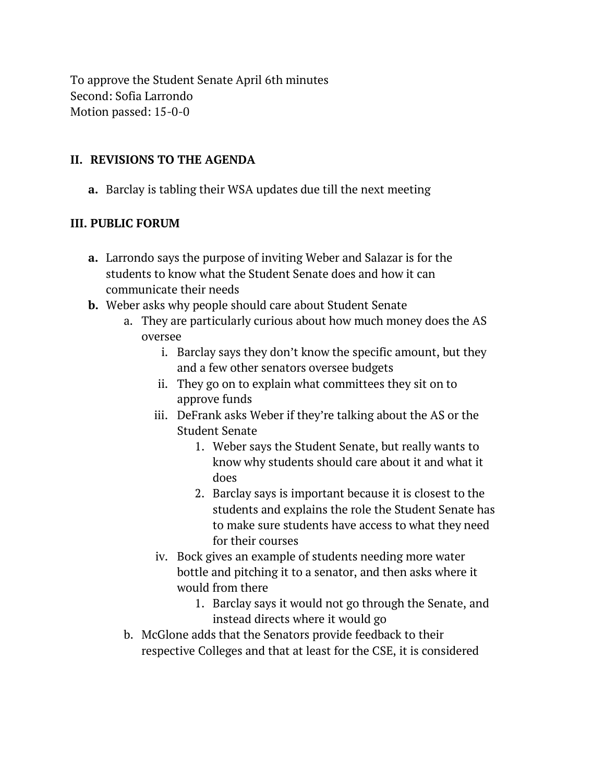To approve the Student Senate April 6th minutes Second: Sofia Larrondo Motion passed: 15-0-0

#### **II. REVISIONS TO THE AGENDA**

**a.** Barclay is tabling their WSA updates due till the next meeting

#### **III. PUBLIC FORUM**

- **a.** Larrondo says the purpose of inviting Weber and Salazar is for the students to know what the Student Senate does and how it can communicate their needs
- **b.** Weber asks why people should care about Student Senate
	- a. They are particularly curious about how much money does the AS oversee
		- i. Barclay says they don't know the specific amount, but they and a few other senators oversee budgets
		- ii. They go on to explain what committees they sit on to approve funds
		- iii. DeFrank asks Weber if they're talking about the AS or the Student Senate
			- 1. Weber says the Student Senate, but really wants to know why students should care about it and what it does
			- 2. Barclay says is important because it is closest to the students and explains the role the Student Senate has to make sure students have access to what they need for their courses
		- iv. Bock gives an example of students needing more water bottle and pitching it to a senator, and then asks where it would from there
			- 1. Barclay says it would not go through the Senate, and instead directs where it would go
	- b. McGlone adds that the Senators provide feedback to their respective Colleges and that at least for the CSE, it is considered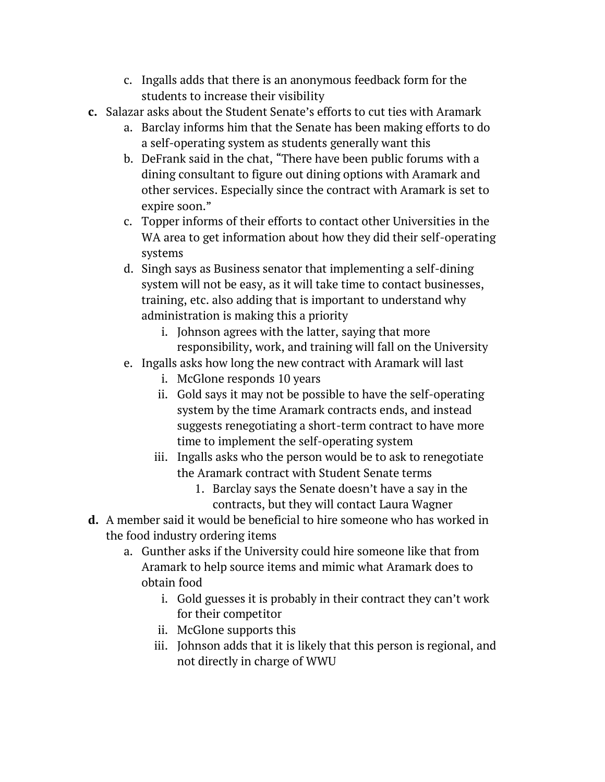- c. Ingalls adds that there is an anonymous feedback form for the students to increase their visibility
- **c.** Salazar asks about the Student Senate's efforts to cut ties with Aramark
	- a. Barclay informs him that the Senate has been making efforts to do a self-operating system as students generally want this
	- b. DeFrank said in the chat, "There have been public forums with a dining consultant to figure out dining options with Aramark and other services. Especially since the contract with Aramark is set to expire soon."
	- c. Topper informs of their efforts to contact other Universities in the WA area to get information about how they did their self-operating systems
	- d. Singh says as Business senator that implementing a self-dining system will not be easy, as it will take time to contact businesses, training, etc. also adding that is important to understand why administration is making this a priority
		- i. Johnson agrees with the latter, saying that more responsibility, work, and training will fall on the University
	- e. Ingalls asks how long the new contract with Aramark will last
		- i. McGlone responds 10 years
		- ii. Gold says it may not be possible to have the self-operating system by the time Aramark contracts ends, and instead suggests renegotiating a short-term contract to have more time to implement the self-operating system
		- iii. Ingalls asks who the person would be to ask to renegotiate the Aramark contract with Student Senate terms
			- 1. Barclay says the Senate doesn't have a say in the contracts, but they will contact Laura Wagner
- **d.** A member said it would be beneficial to hire someone who has worked in the food industry ordering items
	- a. Gunther asks if the University could hire someone like that from Aramark to help source items and mimic what Aramark does to obtain food
		- i. Gold guesses it is probably in their contract they can't work for their competitor
		- ii. McGlone supports this
		- iii. Johnson adds that it is likely that this person is regional, and not directly in charge of WWU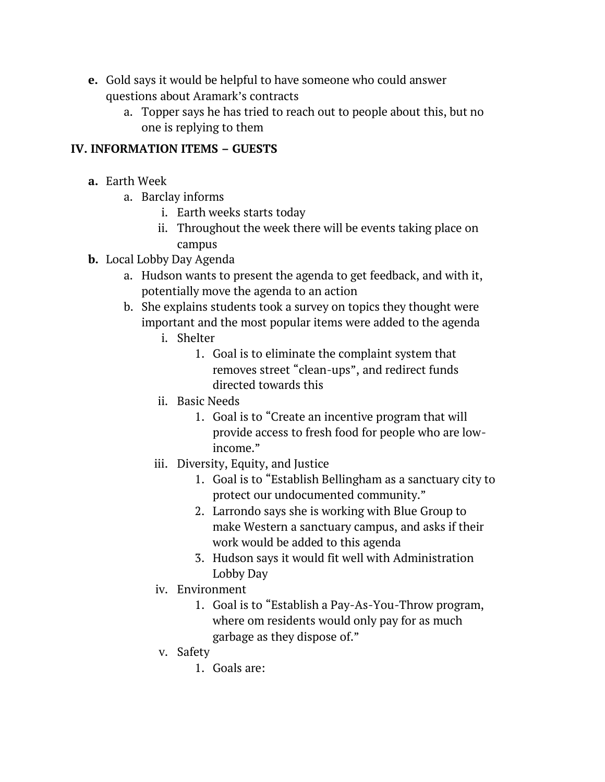- **e.** Gold says it would be helpful to have someone who could answer questions about Aramark's contracts
	- a. Topper says he has tried to reach out to people about this, but no one is replying to them

#### **IV. INFORMATION ITEMS – GUESTS**

- **a.** Earth Week
	- a. Barclay informs
		- i. Earth weeks starts today
		- ii. Throughout the week there will be events taking place on campus
- **b.** Local Lobby Day Agenda
	- a. Hudson wants to present the agenda to get feedback, and with it, potentially move the agenda to an action
	- b. She explains students took a survey on topics they thought were important and the most popular items were added to the agenda
		- i. Shelter
			- 1. Goal is to eliminate the complaint system that removes street "clean-ups", and redirect funds directed towards this
		- ii. Basic Needs
			- 1. Goal is to "Create an incentive program that will provide access to fresh food for people who are lowincome."
		- iii. Diversity, Equity, and Justice
			- 1. Goal is to "Establish Bellingham as a sanctuary city to protect our undocumented community."
			- 2. Larrondo says she is working with Blue Group to make Western a sanctuary campus, and asks if their work would be added to this agenda
			- 3. Hudson says it would fit well with Administration Lobby Day
		- iv. Environment
			- 1. Goal is to "Establish a Pay-As-You-Throw program, where om residents would only pay for as much garbage as they dispose of."
		- v. Safety
			- 1. Goals are: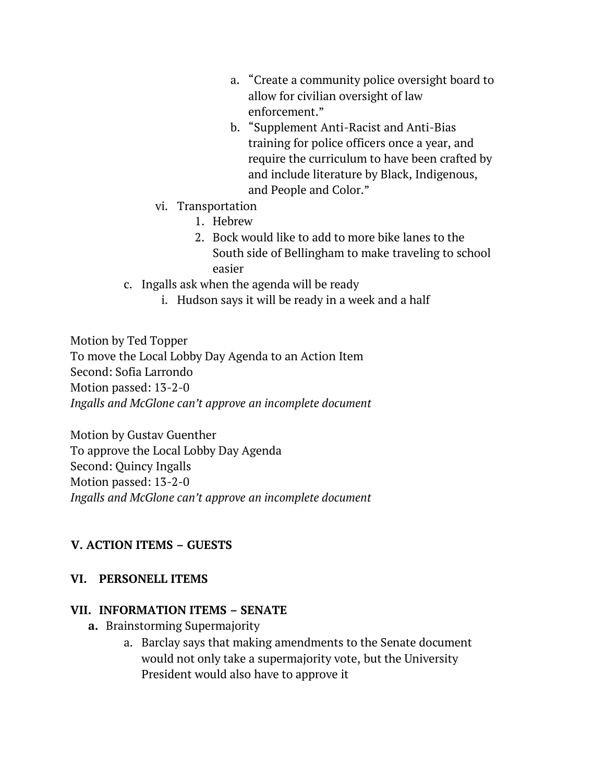- a. "Create a community police oversight board to allow for civilian oversight of law enforcement."
- b. "Supplement Anti-Racist and Anti-Bias training for police officers once a year, and require the curriculum to have been crafted by and include literature by Black, Indigenous, and People and Color."
- vi. Transportation
	- 1. Hebrew
	- 2. Bock would like to add to more bike lanes to the South side of Bellingham to make traveling to school easier
- c. Ingalls ask when the agenda will be ready
	- i. Hudson says it will be ready in a week and a half

Motion by Ted Topper To move the Local Lobby Day Agenda to an Action Item Second: Sofia Larrondo Motion passed: 13-2-0 *Ingalls and McGlone can't approve an incomplete document*

Motion by Gustav Guenther To approve the Local Lobby Day Agenda Second: Quincy Ingalls Motion passed: 13-2-0 *Ingalls and McGlone can't approve an incomplete document* 

# **V. ACTION ITEMS – GUESTS**

## **VI. PERSONELL ITEMS**

#### **VII. INFORMATION ITEMS – SENATE**

- **a.** Brainstorming Supermajority
	- a. Barclay says that making amendments to the Senate document would not only take a supermajority vote, but the University President would also have to approve it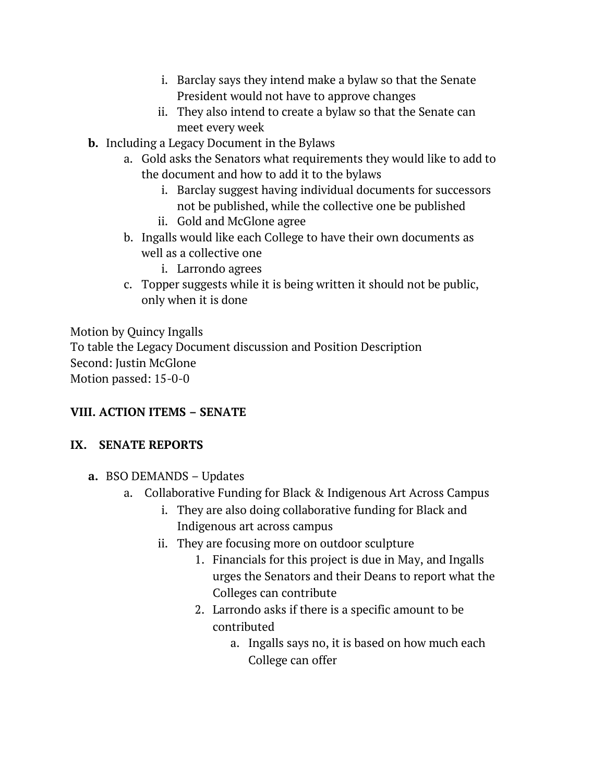- i. Barclay says they intend make a bylaw so that the Senate President would not have to approve changes
- ii. They also intend to create a bylaw so that the Senate can meet every week
- **b.** Including a Legacy Document in the Bylaws
	- a. Gold asks the Senators what requirements they would like to add to the document and how to add it to the bylaws
		- i. Barclay suggest having individual documents for successors not be published, while the collective one be published
		- ii. Gold and McGlone agree
	- b. Ingalls would like each College to have their own documents as well as a collective one
		- i. Larrondo agrees
	- c. Topper suggests while it is being written it should not be public, only when it is done

Motion by Quincy Ingalls To table the Legacy Document discussion and Position Description Second: Justin McGlone Motion passed: 15-0-0

# **VIII. ACTION ITEMS – SENATE**

## **IX. SENATE REPORTS**

- **a.** BSO DEMANDS Updates
	- a. Collaborative Funding for Black & Indigenous Art Across Campus
		- i. They are also doing collaborative funding for Black and Indigenous art across campus
		- ii. They are focusing more on outdoor sculpture
			- 1. Financials for this project is due in May, and Ingalls urges the Senators and their Deans to report what the Colleges can contribute
			- 2. Larrondo asks if there is a specific amount to be contributed
				- a. Ingalls says no, it is based on how much each College can offer